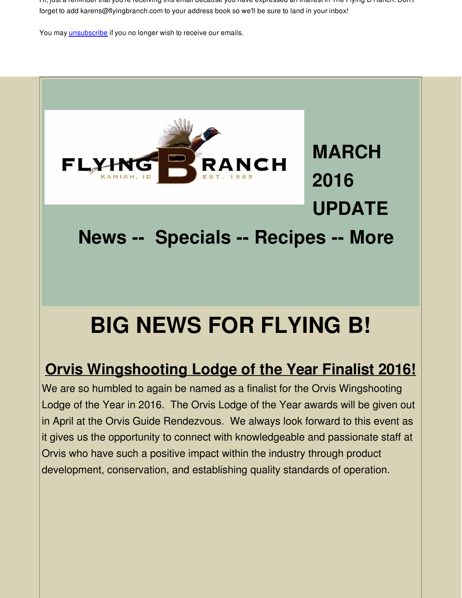Hi, just a reminder that you're receiving this email because you have expressed an interest in The Flying B Ranch. Don't forget to add karens@flyingbranch.com to your address book so we'll be sure to land in your inbox!

You may **[unsubscribe](http://visitor.constantcontact.com/do?p=un&m=001q0OrrepsyIlgBWQ8LMc-wQ%3D%3D&ch=&ca=e964547c-e43e-4048-b25c-a711abd28096)** if you no longer wish to receive our emails.



**MARCH 2016 UPDATE**

**News -- Specials -- Recipes -- More**

# **BIG NEWS FOR FLYING B!**

## **Orvis [Wingshooting](http://r20.rs6.net/tn.jsp?f=001etiRem_OjM9InUMSAqyI7t6IgBGIq2CfLRMZQpowdBBFZPhxF7NvrEwIyjavhVQmj6CYi-onjYml4l6M3-N5-gFOvHhr2U0T-OBn9cKtD_jnvJ1YXvS0WPcCN6AWDEKzGpZ67Xx2JZk72nUTjzd3onhUgo6UnqkqV1QvxXV-rABBeu4HFN9RHCPKSfy50avMsfTv33RwutHZTTXooC66JP1mnpyUuwA1WE9y0xGymGWHR-sVZQWeX77Fd-KHxwzkMCenUF6PhcNFUEq8zFAs9A==&c=&ch=) Lodge of the Year Finalist 2016!**

We are so humbled to again be named as a finalist for the Orvis Wingshooting Lodge of the Year in 2016. The Orvis Lodge of the Year awards will be given out in April at the Orvis Guide Rendezvous. We always look forward to this event as it gives us the opportunity to connect with knowledgeable and passionate staff at Orvis who have such a positive impact within the industry through product development, conservation, and establishing quality standards of operation.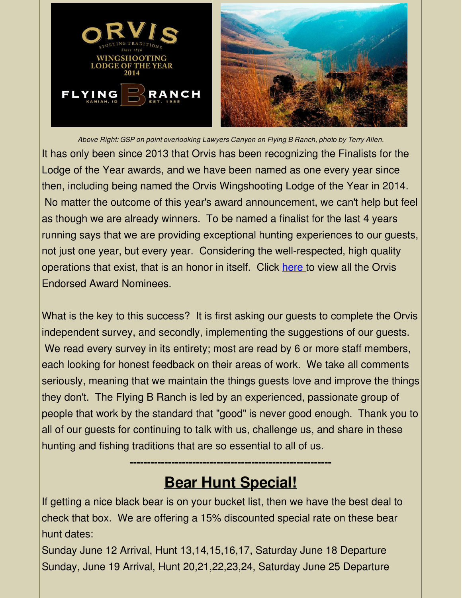

*Above Right: GSP on point overlooking Lawyers Canyon on Flying B Ranch, photo by Terry Allen.* It has only been since 2013 that Orvis has been recognizing the Finalists for the Lodge of the Year awards, and we have been named as one every year since then, including being named the Orvis Wingshooting Lodge of the Year in 2014. No matter the outcome of this year's award announcement, we can't help but feel as though we are already winners. To be named a finalist for the last 4 years running says that we are providing exceptional hunting experiences to our guests, not just one year, but every year. Considering the well-respected, high quality operations that exist, that is an honor in itself. Click [here](http://r20.rs6.net/tn.jsp?f=001etiRem_OjM9InUMSAqyI7t6IgBGIq2CfLRMZQpowdBBFZPhxF7NvrEwIyjavhVQmj6CYi-onjYml4l6M3-N5-gFOvHhr2U0T-OBn9cKtD_jnvJ1YXvS0WPcCN6AWDEKzGpZ67Xx2JZk72nUTjzd3onhUgo6UnqkqV1QvxXV-rABBeu4HFN9RHCPKSfy50avMsfTv33RwutHZTTXooC66JP1mnpyUuwA1WE9y0xGymGWHR-sVZQWeX77Fd-KHxwzkMCenUF6PhcNFUEq8zFAs9A==&c=&ch=) to view all the Orvis Endorsed Award Nominees.

What is the key to this success? It is first asking our quests to complete the Orvis independent survey, and secondly, implementing the suggestions of our guests. We read every survey in its entirety; most are read by 6 or more staff members, each looking for honest feedback on their areas of work. We take all comments seriously, meaning that we maintain the things guests love and improve the things they don't. The Flying B Ranch is led by an experienced, passionate group of people that work by the standard that "good" is never good enough. Thank you to all of our guests for continuing to talk with us, challenge us, and share in these hunting and fishing traditions that are so essential to all of us.

# **Bear Hunt Special!**

**----------------------------------------------------------**

If getting a nice black bear is on your bucket list, then we have the best deal to check that box. We are offering a 15% discounted special rate on these bear hunt dates:

Sunday June 12 Arrival, Hunt 13,14,15,16,17, Saturday June 18 Departure Sunday, June 19 Arrival, Hunt 20,21,22,23,24, Saturday June 25 Departure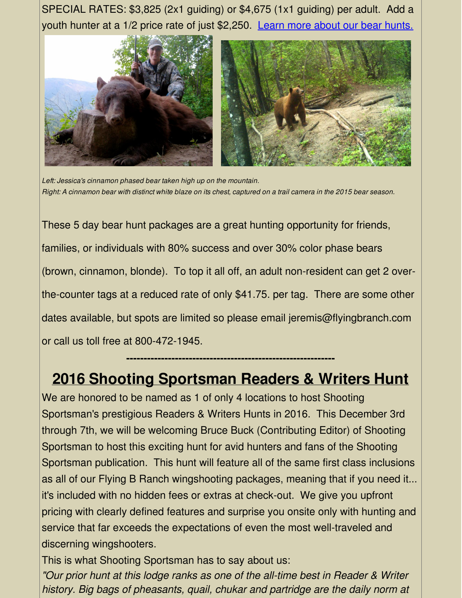SPECIAL RATES: \$3,825 (2x1 guiding) or \$4,675 (1x1 guiding) per adult. Add a youth hunter at a 1/2 price rate of just \$2,250. Learn more about our bear [hunts.](http://r20.rs6.net/tn.jsp?f=001etiRem_OjM9InUMSAqyI7t6IgBGIq2CfLRMZQpowdBBFZPhxF7NvrEwIyjavhVQmTSVkB_Q621xkM4JbDXxMAChmUa1xK-vGH10vMDdHFL_I6Jln6TOoV7K8qs0TcndNOmJq3ixrYrFiN16gErXyhTy7-3CEpPiQ_S0tooFMXpWPCeg0GYrxYBoIDwHqjjQSQIeuIS9ycEg=&c=&ch=)



*Left: Jessica's cinnamon phased bear taken high up on the mountain.* Right: A cinnamon bear with distinct white blaze on its chest, captured on a trail camera in the 2015 bear season.

These 5 day bear hunt packages are a great hunting opportunity for friends, families, or individuals with 80% success and over 30% color phase bears (brown, cinnamon, blonde). To top it all off, an adult non-resident can get 2 overthe-counter tags at a reduced rate of only \$41.75. per tag. There are some other dates available, but spots are limited so please email jeremis@flyingbranch.com or call us toll free at 800-472-1945.

## **2016 Shooting [Sportsman](http://r20.rs6.net/tn.jsp?f=001etiRem_OjM9InUMSAqyI7t6IgBGIq2CfLRMZQpowdBBFZPhxF7NvrEwIyjavhVQmTT9xNjKQnzxeqZ0FHGTp3YQ71JDJl8t36bH_PenwQ1fgN5JnbsVFzUSSvkrO2HyflG_F6GdPWT9xsAIR7Hzxz_Esg8X4PAY9blGkNPMvzT2WDmgwsgGyYuqdSTWd0JhiKuLnq7LmVE4GnZgcJlyWdA==&c=&ch=) Readers & Writers Hunt**

**------------------------------------------------------------**

We are honored to be named as 1 of only 4 locations to host Shooting Sportsman's prestigious Readers & Writers Hunts in 2016. This December 3rd through 7th, we will be welcoming Bruce Buck (Contributing Editor) of Shooting Sportsman to host this exciting hunt for avid hunters and fans of the Shooting Sportsman publication. This hunt will feature all of the same first class inclusions as all of our Flying B Ranch wingshooting packages, meaning that if you need it... it's included with no hidden fees or extras at check-out. We give you upfront pricing with clearly defined features and surprise you onsite only with hunting and service that far exceeds the expectations of even the most well-traveled and discerning wingshooters.

This is what Shooting Sportsman has to say about us:

*"Our prior hunt at this lodge ranks as one of the all-time best in Reader & Writer history. Big bags of pheasants, quail, chukar and partridge are the daily norm at*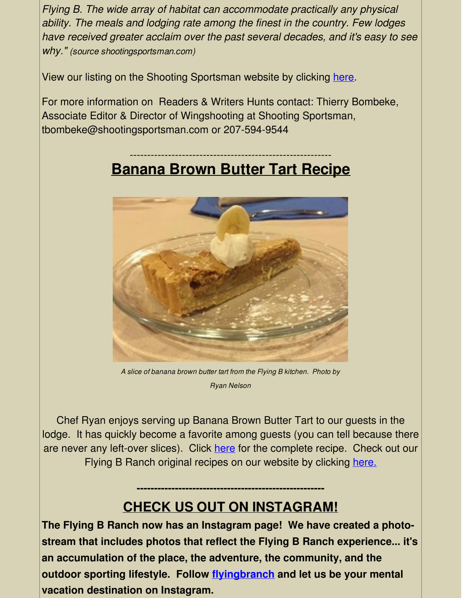*Flying B. The wide array of habitat can accommodate practically any physical ability. The meals and lodging rate among the finest in the country. Few lodges have received greater acclaim over the past several decades, and it's easy to see why." (source shootingsportsman.com)*

View our listing on the Shooting Sportsman website by clicking [here](http://r20.rs6.net/tn.jsp?f=001etiRem_OjM9InUMSAqyI7t6IgBGIq2CfLRMZQpowdBBFZPhxF7NvrEwIyjavhVQmTT9xNjKQnzxeqZ0FHGTp3YQ71JDJl8t36bH_PenwQ1fgN5JnbsVFzUSSvkrO2HyflG_F6GdPWT9xsAIR7Hzxz_Esg8X4PAY9blGkNPMvzT2WDmgwsgGyYuqdSTWd0JhiKuLnq7LmVE4GnZgcJlyWdA==&c=&ch=).

For more information on Readers & Writers Hunts contact: Thierry Bombeke, Associate Editor & Director of Wingshooting at Shooting Sportsman, tbombeke@shootingsportsman.com or 207-594-9544

#### ---------------------------------------------------------- **Banana Brown Butter Tart Recipe**



*A slice of banana brown butter tart from the Flying B kitchen. Photo by Ryan Nelson*

Chef Ryan enjoys serving up Banana Brown Butter Tart to our guests in the lodge. It has quickly become a favorite among guests (you can tell because there are never any left-over slices). Click [here](http://r20.rs6.net/tn.jsp?f=001etiRem_OjM9InUMSAqyI7t6IgBGIq2CfLRMZQpowdBBFZPhxF7NvrNAUBSObR2IlJHqrbsAPyOmoQr1yEGrrpRvTE9D6CaR5tJtCAmrVY-ifvQdQtrU9kPlzZfL_Gt-bsFoFn0L6f94DOhNbV0Ab7R3Xwg8D6Wt9OBWkr9olWDkKDX_L0v0nkGcdKqexaaxDEH-DFMYeNPZ-zrEC-KxE7433sRYndJcgUCS3nzp1VMap-BxElHTSGA==&c=&ch=) for the complete recipe. Check out our Flying B Ranch original recipes on our website by clicking [here.](http://r20.rs6.net/tn.jsp?f=001etiRem_OjM9InUMSAqyI7t6IgBGIq2CfLRMZQpowdBBFZPhxF7NvrEwIyjavhVQmOOC3eh-jXYdpY4XOQ_MF6vcC7WKmmVRpM1jj19z2i0h-jbQcyPu4BehFFZ9lc93OS6tRDwnDCjILzukPxQWbvYbMAgpJS1Yfq0LRjhuBGOhkjb-UpHrW8uq8SzMPg2heW-mQWsWNzbU=&c=&ch=)

### **CHECK US OUT ON INSTAGRAM!**

**------------------------------------------------------**

**The Flying B Ranch now has an Instagram page! We have created a photostream that includes photos that reflect the Flying B Ranch experience... it's an accumulation of the place, the adventure, the community, and the outdoor sporting lifestyle. Follow [flyingbranch](http://r20.rs6.net/tn.jsp?f=001etiRem_OjM9InUMSAqyI7t6IgBGIq2CfLRMZQpowdBBFZPhxF7NvrEwIyjavhVQmj-UFnr4mkXbPKY76WoBc1IPgYAq--77FCmr6Q5i2dQZx7kZtTqA0dnfZ1GYx18-EeUIBNjD-oMNrQiaiFhdWtXnOmTrmrlp_kanMgA4xER_EMl7NtsGEzlzJ2DVAvtiz&c=&ch=) and let us be your mental vacation destination on Instagram.**